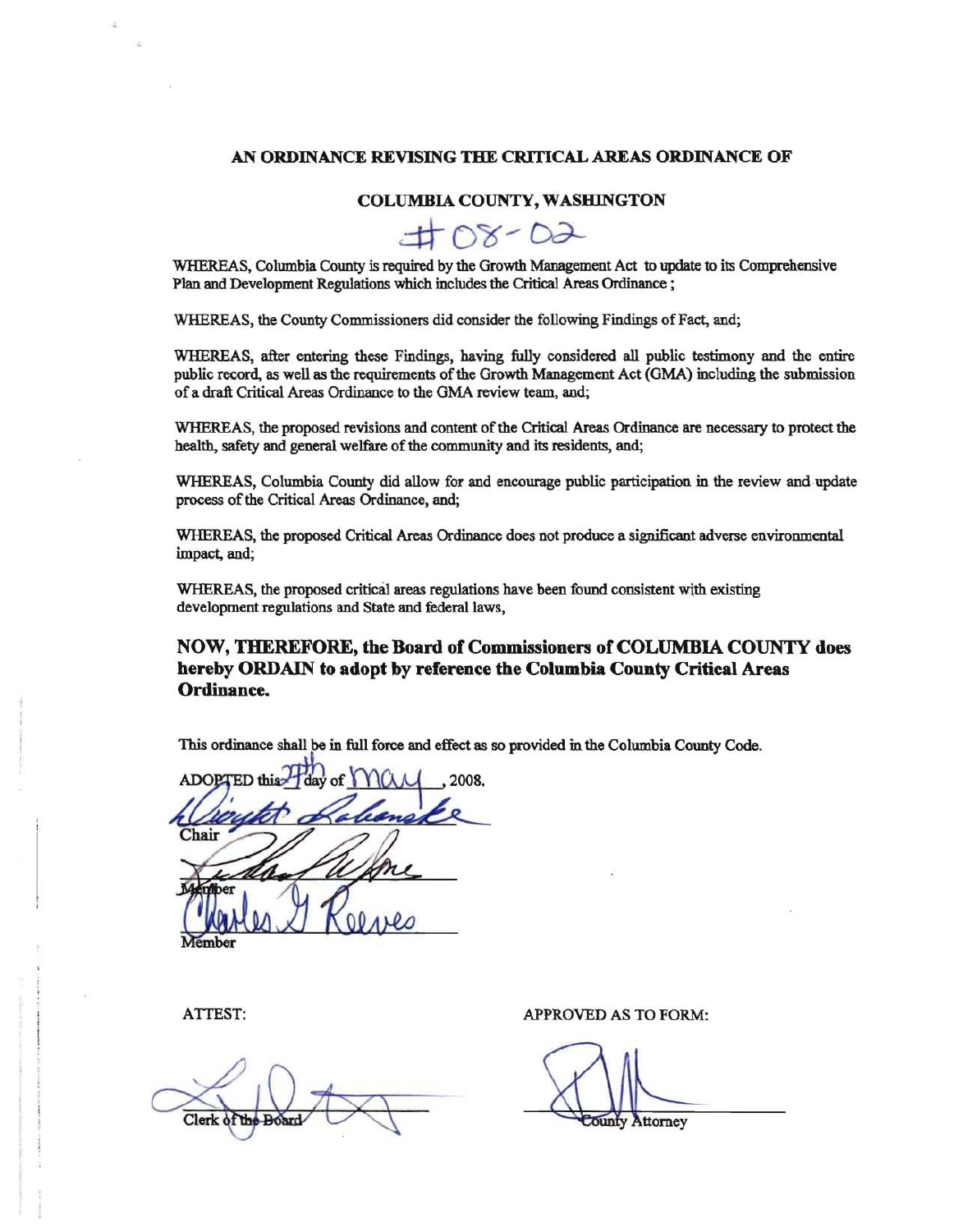### **AN ORDINANCE REVISING THE CRITICAL AREAS ORDINANCE OF**

### **COLUMBIA COUNTY, WASHINGTON**

 $\pm$  OS-D2

WHEREAS, Columbia County is required by the Growth Management Act to update to its Comprehensive Plan and Development Regulations which includes the Critical Areas Ordinance ;

WHEREAS, the County Commissioners did consider the following Findings of Fact, and;

WHEREAS, after entering these Findings, having fully considered all public testimony and the entire public record, as well as the requirements of the Growth Management Act (GMA) including the submission of a draft Critical Areas Ordinance to the GMA review team, and;

WHEREAS, the proposed revisions and content of the Critical Areas Ordinance are necessary to protect the health, safety and general welfare of the community and its residents, and;

WHEREAS, Columbia County did allow for and encourage public participation in the review and update process of the Critical Areas Ordinance, and;

WHEREAS, the proposed Critical Areas Ordinance does not produce a significant adverse environmental impact, and;

WHEREAS, the proposed critical areas regulations have been found consistent wjth existing development regulations and State and federal laws,

### **NOW, THEREFORE, the Board of Commissioners of COLUMBIA COUNTY does hereby ORDAIN to adopt by reference the Columbia County Critical Areas Ordinance.**

This ordinance shall be in full force and effect as so provided in the Columbia County Code.

2008. hair mher

Clerk of the

ATTEST: APPROVED AS TO FORM:

ounty Attorney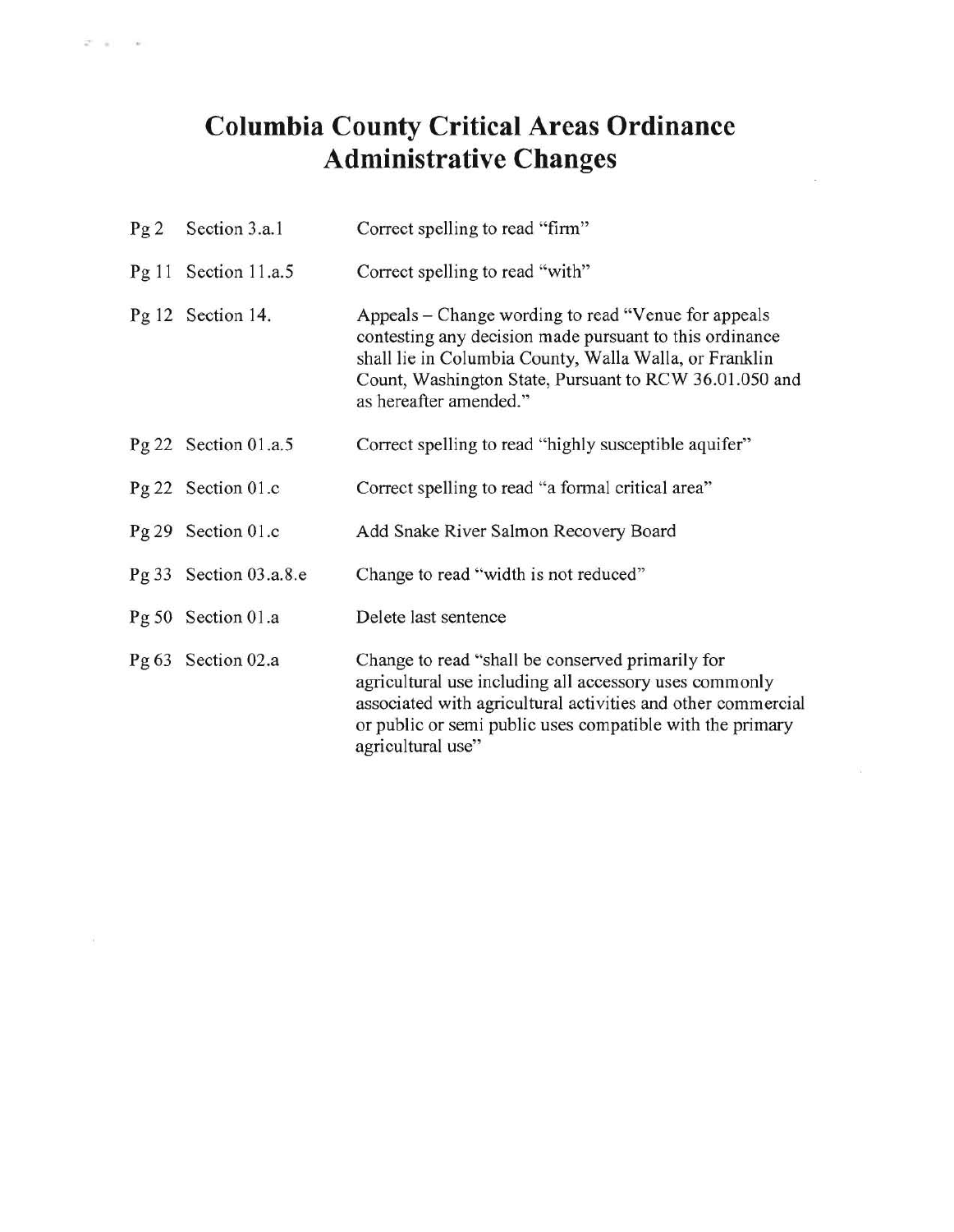# **Columbia County Critical Areas Ordinance Adnlinistrative Changes**

| Pg2 | Section 3.a.1          | Correct spelling to read "firm"                                                                                                                                                                                                                               |
|-----|------------------------|---------------------------------------------------------------------------------------------------------------------------------------------------------------------------------------------------------------------------------------------------------------|
|     | Pg 11 Section 11.a.5   | Correct spelling to read "with"                                                                                                                                                                                                                               |
|     | Pg 12 Section 14.      | Appeals – Change wording to read "Venue for appeals"<br>contesting any decision made pursuant to this ordinance<br>shall lie in Columbia County, Walla Walla, or Franklin<br>Count, Washington State, Pursuant to RCW 36.01.050 and<br>as hereafter amended." |
|     | Pg 22 Section $01.a.5$ | Correct spelling to read "highly susceptible aquifer"                                                                                                                                                                                                         |
|     | Pg 22 Section 01.c     | Correct spelling to read "a formal critical area"                                                                                                                                                                                                             |
|     | Pg 29 Section 01.c     | Add Snake River Salmon Recovery Board                                                                                                                                                                                                                         |
|     | Pg 33 Section 03.a.8.e | Change to read "width is not reduced"                                                                                                                                                                                                                         |
|     | Pg 50 Section 01.a     | Delete last sentence                                                                                                                                                                                                                                          |
|     | Pg 63 Section 02.a     | Change to read "shall be conserved primarily for<br>agricultural use including all accessory uses commonly<br>associated with agricultural activities and other commercial<br>or public or semi public uses compatible with the primary<br>agricultural use"  |

V)